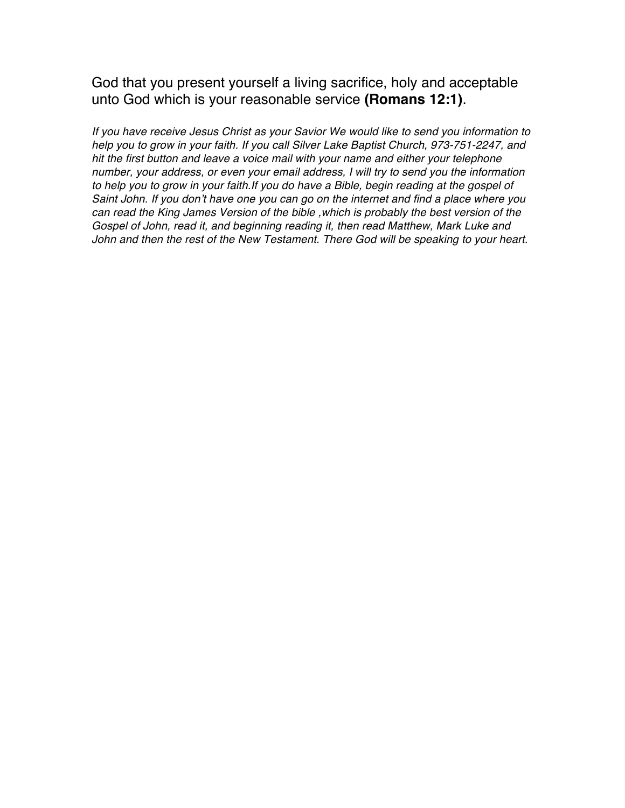God that you present yourself a living sacrifice, holy and acceptable unto God which is your reasonable service **(Romans 12:1)**.

*If you have receive Jesus Christ as your Savior We would like to send you information to help you to grow in your faith. If you call Silver Lake Baptist Church, 973-751-2247, and hit the first button and leave a voice mail with your name and either your telephone number, your address, or even your email address, I will try to send you the information to help you to grow in your faith.If you do have a Bible, begin reading at the gospel of Saint John. If you don't have one you can go on the internet and find a place where you can read the King James Version of the bible ,which is probably the best version of the Gospel of John, read it, and beginning reading it, then read Matthew, Mark Luke and John and then the rest of the New Testament. There God will be speaking to your heart.*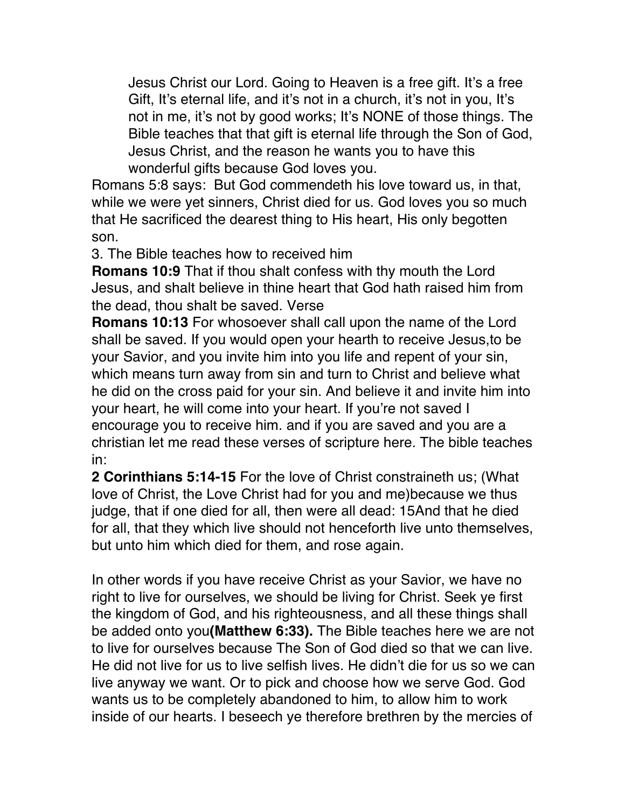Jesus Christ our Lord. Going to Heaven is a free gift. It's a free Gift, It's eternal life, and it's not in a church, it's not in you, It's not in me, it's not by good works; It's NONE of those things. The Bible teaches that that gift is eternal life through the Son of God, Jesus Christ, and the reason he wants you to have this wonderful gifts because God loves you.

Romans 5:8 says: But God commendeth his love toward us, in that, while we were yet sinners, Christ died for us. God loves you so much that He sacrificed the dearest thing to His heart, His only begotten son.

3. The Bible teaches how to received him

**Romans 10:9** That if thou shalt confess with thy mouth the Lord Jesus, and shalt believe in thine heart that God hath raised him from the dead, thou shalt be saved. Verse

**Romans 10:13** For whosoever shall call upon the name of the Lord shall be saved. If you would open your hearth to receive Jesus,to be your Savior, and you invite him into you life and repent of your sin, which means turn away from sin and turn to Christ and believe what he did on the cross paid for your sin. And believe it and invite him into your heart, he will come into your heart. If you're not saved I encourage you to receive him. and if you are saved and you are a christian let me read these verses of scripture here. The bible teaches in:

**2 Corinthians 5:14-15** For the love of Christ constraineth us; (What love of Christ, the Love Christ had for you and me)because we thus judge, that if one died for all, then were all dead: 15And that he died for all, that they which live should not henceforth live unto themselves, but unto him which died for them, and rose again.

In other words if you have receive Christ as your Savior, we have no right to live for ourselves, we should be living for Christ. Seek ye first the kingdom of God, and his righteousness, and all these things shall be added onto you**(Matthew 6:33).** The Bible teaches here we are not to live for ourselves because The Son of God died so that we can live. He did not live for us to live selfish lives. He didn't die for us so we can live anyway we want. Or to pick and choose how we serve God. God wants us to be completely abandoned to him, to allow him to work inside of our hearts. I beseech ye therefore brethren by the mercies of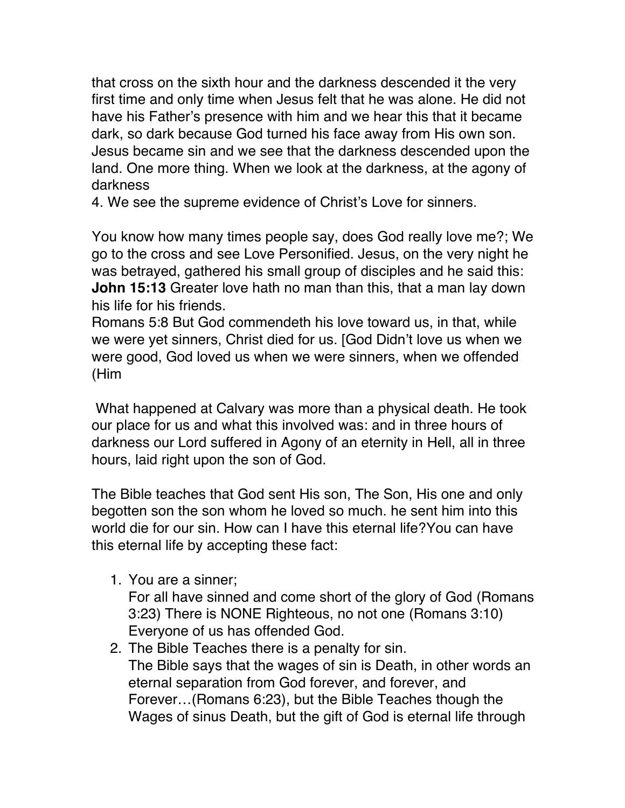that cross on the sixth hour and the darkness descended it the very first time and only time when Jesus felt that he was alone. He did not have his Father's presence with him and we hear this that it became dark, so dark because God turned his face away from His own son. Jesus became sin and we see that the darkness descended upon the land. One more thing. When we look at the darkness, at the agony of darkness

4. We see the supreme evidence of Christ's Love for sinners.

You know how many times people say, does God really love me?; We go to the cross and see Love Personified. Jesus, on the very night he was betrayed, gathered his small group of disciples and he said this: **John 15:13** Greater love hath no man than this, that a man lay down his life for his friends.

Romans 5:8 But God commendeth his love toward us, in that, while we were yet sinners, Christ died for us. [God Didn't love us when we were good, God loved us when we were sinners, when we offended (Him

What happened at Calvary was more than a physical death. He took our place for us and what this involved was: and in three hours of darkness our Lord suffered in Agony of an eternity in Hell, all in three hours, laid right upon the son of God.

The Bible teaches that God sent His son, The Son, His one and only begotten son the son whom he loved so much. he sent him into this world die for our sin. How can I have this eternal life?You can have this eternal life by accepting these fact:

1. You are a sinner;

For all have sinned and come short of the glory of God (Romans 3:23) There is NONE Righteous, no not one (Romans 3:10) Everyone of us has offended God.

2. The Bible Teaches there is a penalty for sin. The Bible says that the wages of sin is Death, in other words an eternal separation from God forever, and forever, and Forever…(Romans 6:23), but the Bible Teaches though the Wages of sinus Death, but the gift of God is eternal life through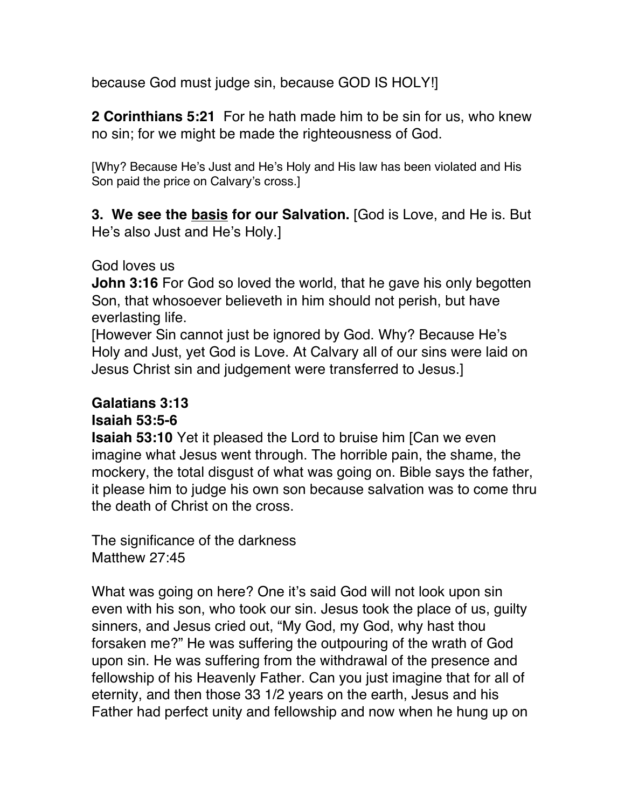because God must judge sin, because GOD IS HOLY!]

**2 Corinthians 5:21** For he hath made him to be sin for us, who knew no sin; for we might be made the righteousness of God.

[Why? Because He's Just and He's Holy and His law has been violated and His Son paid the price on Calvary's cross.]

**3. We see the basis for our Salvation.** [God is Love, and He is. But He's also Just and He's Holy.]

### God loves us

**John 3:16** For God so loved the world, that he gave his only begotten Son, that whosoever believeth in him should not perish, but have everlasting life.

[However Sin cannot just be ignored by God. Why? Because He's Holy and Just, yet God is Love. At Calvary all of our sins were laid on Jesus Christ sin and judgement were transferred to Jesus.]

## **Galatians 3:13**

### **Isaiah 53:5-6**

**Isaiah 53:10** Yet it pleased the Lord to bruise him [Can we even imagine what Jesus went through. The horrible pain, the shame, the mockery, the total disgust of what was going on. Bible says the father, it please him to judge his own son because salvation was to come thru the death of Christ on the cross.

The significance of the darkness Matthew 27:45

What was going on here? One it's said God will not look upon sin even with his son, who took our sin. Jesus took the place of us, guilty sinners, and Jesus cried out, "My God, my God, why hast thou forsaken me?" He was suffering the outpouring of the wrath of God upon sin. He was suffering from the withdrawal of the presence and fellowship of his Heavenly Father. Can you just imagine that for all of eternity, and then those 33 1/2 years on the earth, Jesus and his Father had perfect unity and fellowship and now when he hung up on